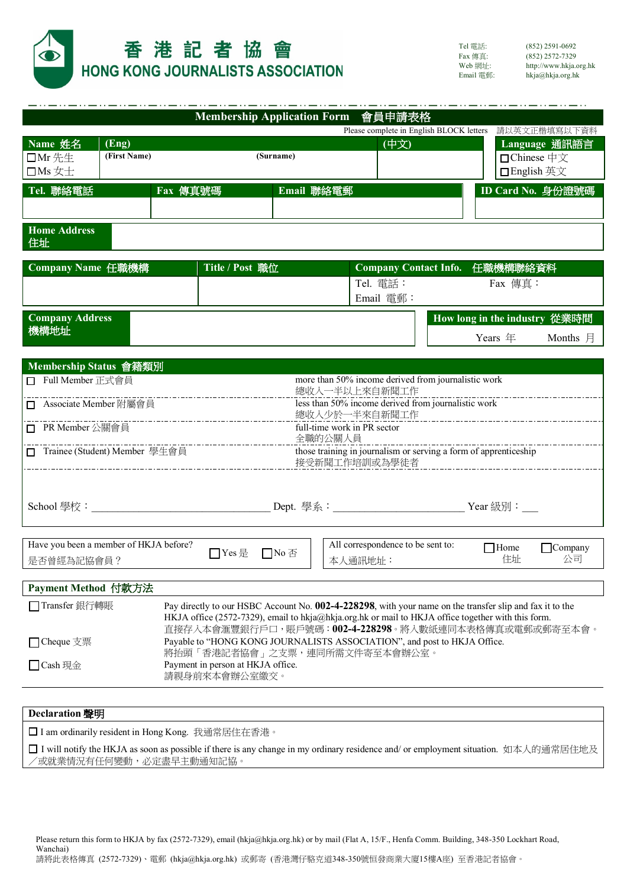

|                                                                                                     |                                                    |                                                                                                                                                                                                                | Membership Application Form 會員申請表格 |         |                                   |  |                               |                                                       |  |  |
|-----------------------------------------------------------------------------------------------------|----------------------------------------------------|----------------------------------------------------------------------------------------------------------------------------------------------------------------------------------------------------------------|------------------------------------|---------|-----------------------------------|--|-------------------------------|-------------------------------------------------------|--|--|
|                                                                                                     |                                                    |                                                                                                                                                                                                                |                                    |         | (中文)                              |  |                               | Please complete in English BLOCK letters 請以英文正楷填寫以下資料 |  |  |
| Name 姓名<br>□Mr先生                                                                                    | (Eng)<br>(First Name)                              |                                                                                                                                                                                                                | (Surname)                          |         |                                   |  | Language 通訊語言<br>□ Chinese 中文 |                                                       |  |  |
| $\square$ Ms 女士                                                                                     |                                                    |                                                                                                                                                                                                                |                                    |         |                                   |  |                               | □English 英文                                           |  |  |
| Tel. 聯絡電話                                                                                           |                                                    | Fax 傳真號碼                                                                                                                                                                                                       | Email 聯絡電郵                         |         |                                   |  |                               | ID Card No. 身份證號碼                                     |  |  |
|                                                                                                     |                                                    |                                                                                                                                                                                                                |                                    |         |                                   |  |                               |                                                       |  |  |
| <b>Home Address</b><br>住址                                                                           |                                                    |                                                                                                                                                                                                                |                                    |         |                                   |  |                               |                                                       |  |  |
| Company Name 任職機構                                                                                   |                                                    | Title / Post 職位                                                                                                                                                                                                |                                    |         | <b>Company Contact Info.</b>      |  | 任職機構聯絡資料                      |                                                       |  |  |
|                                                                                                     |                                                    |                                                                                                                                                                                                                |                                    |         | Tel. 電話:                          |  | Fax 傳真:                       |                                                       |  |  |
|                                                                                                     |                                                    |                                                                                                                                                                                                                |                                    |         | Email 電郵:                         |  |                               |                                                       |  |  |
| <b>Company Address</b>                                                                              |                                                    |                                                                                                                                                                                                                |                                    |         |                                   |  |                               | How long in the industry 從業時間                         |  |  |
| 機構地址                                                                                                |                                                    |                                                                                                                                                                                                                |                                    |         |                                   |  | Years 年                       | Months 月                                              |  |  |
|                                                                                                     |                                                    |                                                                                                                                                                                                                |                                    |         |                                   |  |                               |                                                       |  |  |
| Membership Status 會籍類別                                                                              |                                                    |                                                                                                                                                                                                                |                                    |         |                                   |  |                               |                                                       |  |  |
| more than 50% income derived from journalistic work<br>□ Full Member 正式會員<br>總收入一半以上來自新聞工作          |                                                    |                                                                                                                                                                                                                |                                    |         |                                   |  |                               |                                                       |  |  |
| □ Associate Member 附屬會員                                                                             |                                                    |                                                                                                                                                                                                                |                                    |         |                                   |  |                               |                                                       |  |  |
|                                                                                                     | □ PR Member 公關會員<br>full-time work in PR sector    |                                                                                                                                                                                                                |                                    |         |                                   |  |                               |                                                       |  |  |
|                                                                                                     | 全職的公關人員<br>-----------------------------           |                                                                                                                                                                                                                |                                    |         |                                   |  |                               |                                                       |  |  |
| those training in journalism or serving a form of apprenticeship<br>□ Trainee (Student) Member 學生會員 |                                                    |                                                                                                                                                                                                                |                                    |         |                                   |  |                               |                                                       |  |  |
|                                                                                                     |                                                    |                                                                                                                                                                                                                |                                    |         |                                   |  |                               |                                                       |  |  |
|                                                                                                     |                                                    |                                                                                                                                                                                                                |                                    |         |                                   |  |                               |                                                       |  |  |
|                                                                                                     |                                                    | School 學校:<br>The Dept. 學系:<br>Dept. 學系:<br>The Dept. Dept. Dept. Dept. Dept. Dept. Dept. Dept. Dept. Dept. 2014                                                                                               |                                    |         |                                   |  |                               |                                                       |  |  |
|                                                                                                     |                                                    |                                                                                                                                                                                                                |                                    |         |                                   |  |                               |                                                       |  |  |
| Have you been a member of HKJA before?                                                              |                                                    | □ Yes 是                                                                                                                                                                                                        | $\Box$ No $\overline{\triangle}$   |         | All correspondence to be sent to: |  | $\Box$ Home                   | $\Box$ Company                                        |  |  |
| 是否曾經為記協會員?                                                                                          |                                                    |                                                                                                                                                                                                                |                                    | 本人通訊地址: |                                   |  | 住址                            | 公司                                                    |  |  |
| Payment Method 付款方法                                                                                 |                                                    |                                                                                                                                                                                                                |                                    |         |                                   |  |                               |                                                       |  |  |
| □ Transfer 銀行轉賬                                                                                     |                                                    |                                                                                                                                                                                                                |                                    |         |                                   |  |                               |                                                       |  |  |
|                                                                                                     |                                                    | Pay directly to our HSBC Account No. 002-4-228298, with your name on the transfer slip and fax it to the<br>HKJA office (2572-7329), email to hkja@hkja.org.hk or mail to HKJA office together with this form. |                                    |         |                                   |  |                               |                                                       |  |  |
|                                                                                                     |                                                    | 直接存入本會滙豐銀行戶口,賬戶號碼:002-4-228298。將入數紙連同本表格傳真或電郵或郵寄至本會。                                                                                                                                                           |                                    |         |                                   |  |                               |                                                       |  |  |
| □ Cheque 支票                                                                                         |                                                    | Payable to "HONG KONG JOURNALISTS ASSOCIATION", and post to HKJA Office.<br>將抬頭「香港記者協會」之支票,連同所需文件寄至本會辦公室。                                                                                                      |                                    |         |                                   |  |                               |                                                       |  |  |
| □ Cash 現金                                                                                           | Payment in person at HKJA office.<br>請親身前來本會辦公室繳交。 |                                                                                                                                                                                                                |                                    |         |                                   |  |                               |                                                       |  |  |
|                                                                                                     |                                                    |                                                                                                                                                                                                                |                                    |         |                                   |  |                               |                                                       |  |  |
|                                                                                                     |                                                    |                                                                                                                                                                                                                |                                    |         |                                   |  |                               |                                                       |  |  |
| <b>Declaration 聲明</b>                                                                               |                                                    |                                                                                                                                                                                                                |                                    |         |                                   |  |                               |                                                       |  |  |
| □ I am ordinarily resident in Hong Kong. 我通常居住在香港。                                                  |                                                    |                                                                                                                                                                                                                |                                    |         |                                   |  |                               |                                                       |  |  |

□ I will notify the HKJA as soon as possible if there is any change in my ordinary residence and/ or employment situation. 如本人的通常居住地及 /或就業情況有任何變動,必定盡早主動通知記協。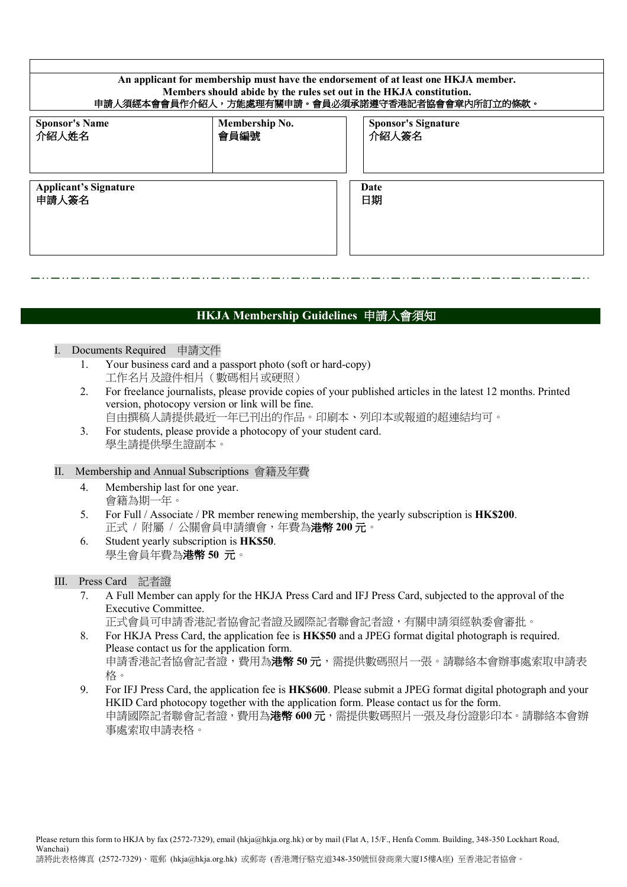| An applicant for membership must have the endorsement of at least one HKJA member.<br>Members should abide by the rules set out in the HKJA constitution. |                |  |                            |  |  |  |  |  |  |
|-----------------------------------------------------------------------------------------------------------------------------------------------------------|----------------|--|----------------------------|--|--|--|--|--|--|
| 申請人須經本會會員作介紹人,方能處理有關申請。會員必須承諾遵守香港記者協會會章內所訂立的條款。                                                                                                           |                |  |                            |  |  |  |  |  |  |
|                                                                                                                                                           |                |  |                            |  |  |  |  |  |  |
| <b>Sponsor's Name</b>                                                                                                                                     | Membership No. |  | <b>Sponsor's Signature</b> |  |  |  |  |  |  |
| 介紹人姓名                                                                                                                                                     | 會員編號           |  | 介紹人簽名                      |  |  |  |  |  |  |
|                                                                                                                                                           |                |  |                            |  |  |  |  |  |  |
|                                                                                                                                                           |                |  |                            |  |  |  |  |  |  |
|                                                                                                                                                           |                |  |                            |  |  |  |  |  |  |
|                                                                                                                                                           |                |  |                            |  |  |  |  |  |  |
| <b>Applicant's Signature</b>                                                                                                                              |                |  | Date                       |  |  |  |  |  |  |
| 申請人簽名                                                                                                                                                     |                |  | 日期                         |  |  |  |  |  |  |
|                                                                                                                                                           |                |  |                            |  |  |  |  |  |  |
|                                                                                                                                                           |                |  |                            |  |  |  |  |  |  |
|                                                                                                                                                           |                |  |                            |  |  |  |  |  |  |
|                                                                                                                                                           |                |  |                            |  |  |  |  |  |  |
|                                                                                                                                                           |                |  |                            |  |  |  |  |  |  |
|                                                                                                                                                           |                |  |                            |  |  |  |  |  |  |

# **HKJA Membership Guidelines** 申請入會須知

#### I. Documents Required 申請文件

- 1. Your business card and a passport photo (soft or hard-copy) 工作名片及證件相片(數碼相片或硬照)
- 2. For freelance journalists, please provide copies of your published articles in the latest 12 months. Printed version, photocopy version or link will be fine.
	- 自由撰稿人請提供最近一年已刊出的作品。印刷本、列印本或報道的超連結均可。
- 3. For students, please provide a photocopy of your student card. 學生請提供學生證副本。

#### II. Membership and Annual Subscriptions 會籍及年費

- 4. Membership last for one year. 會籍為期一年。
- 5. For Full / Associate / PR member renewing membership, the yearly subscription is **HK\$200**. 正式 / 附屬 / 公關會員申請續會,年費為港幣 **200** 元。
- 6. Student yearly subscription is **HK\$50**. 學生會員年費為港幣 **50** 元。

### III. Press Card 記者證

- 7. A Full Member can apply for the HKJA Press Card and IFJ Press Card, subjected to the approval of the Executive Committee. 正式會員可申請香港記者協會記者證及國際記者聯會記者證,有關申請須經執委會審批。
- 8. For HKJA Press Card, the application fee is **HK\$50** and a JPEG format digital photograph is required. Please contact us for the application form. 申請香港記者協會記者證,費用為**港幣 50 元**,需提供數碼照片一張。請聯絡本會辦事處索取申請表 格。
- 9. For IFJ Press Card, the application fee is **HK\$600**. Please submit a JPEG format digital photograph and your HKID Card photocopy together with the application form. Please contact us for the form. 申請國際記者聯會記者證,費用為港幣 **600** 元,需提供數碼照片一張及身份證影印本。請聯絡本會辦 事處索取申請表格。